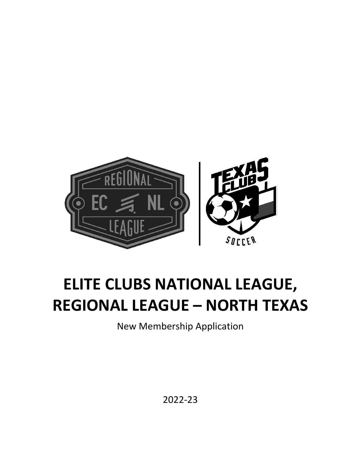

# **ELITE CLUBS NATIONAL LEAGUE, REGIONAL LEAGUE – NORTH TEXAS**

New Membership Application

2022-23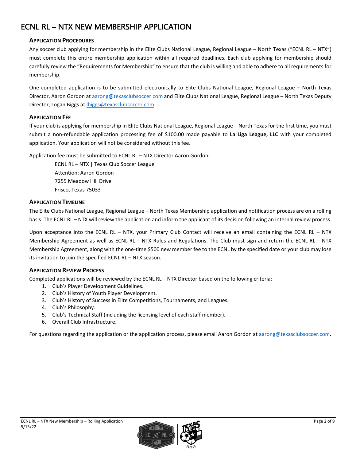### **APPLICATION PROCEDURES**

Any soccer club applying for membership in the Elite Clubs National League, Regional League – North Texas ("ECNL RL – NTX") must complete this entire membership application within all required deadlines. Each club applying for membership should carefully review the "Requirements for Membership" to ensure that the club is willing and able to adhere to all requirements for membership.

One completed application is to be submitted electronically to Elite Clubs National League, Regional League – North Texas Director, Aaron Gordon a[t aarong@texasclubsoccer.com](mailto:aarong@texasclubsoccer.com) and Elite Clubs National League, Regional League - North Texas Deputy Director, Logan Biggs a[t lbiggs@texasclubsoccer.com.](mailto:lbiggs@texasclubsoccer.com)

### **APPLICATION FEE**

If your club is applying for membership in Elite Clubs National League, Regional League – North Texas for the first time, you must submit a non-refundable application processing fee of \$100.00 made payable to **La Liga League, LLC** with your completed application. Your application will not be considered without this fee.

Application fee must be submitted to ECNL RL – NTX Director Aaron Gordon:

ECNL RL – NTX | Texas Club Soccer League Attention: Aaron Gordon 7255 Meadow Hill Drive Frisco, Texas 75033

### **APPLICATION TIMELINE**

The Elite Clubs National League, Regional League – North Texas Membership application and notification process are on a rolling basis. The ECNL RL – NTX will review the application and inform the applicant of its decision following an internal review process.

Upon acceptance into the ECNL RL – NTX, your Primary Club Contact will receive an email containing the ECNL RL – NTX Membership Agreement as well as ECNL RL – NTX Rules and Regulations. The Club must sign and return the ECNL RL – NTX Membership Agreement, along with the one-time \$500 new member fee to the ECNL by the specified date or your club may lose its invitation to join the specified ECNL RL – NTX season.

### **APPLICATION REVIEW PROCESS**

Completed applications will be reviewed by the ECNL RL – NTX Director based on the following criteria:

- 1. Club's Player Development Guidelines.
- 2. Club's History of Youth Player Development.
- 3. Club's History of Success in Elite Competitions, Tournaments, and Leagues.
- 4. Club's Philosophy.
- 5. Club's Technical Staff (including the licensing level of each staff member).
- 6. Overall Club Infrastructure.

For questions regarding the application or the application process, please email Aaron Gordon a[t aarong@texasclubsoccer.com.](mailto:aarong@texasclubsoccer.com)

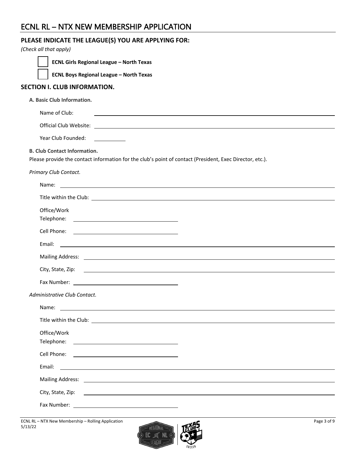| PLEASE INDICATE THE LEAGUE(S) YOU ARE APPLYING FOR:<br>(Check all that apply)                                                                                                                                                  |
|--------------------------------------------------------------------------------------------------------------------------------------------------------------------------------------------------------------------------------|
| <b>ECNL Girls Regional League - North Texas</b>                                                                                                                                                                                |
| <b>ECNL Boys Regional League - North Texas</b>                                                                                                                                                                                 |
| <b>SECTION I. CLUB INFORMATION.</b>                                                                                                                                                                                            |
| A. Basic Club Information.                                                                                                                                                                                                     |
| Name of Club:<br>and the control of the control of the control of the control of the control of the control of the control of the                                                                                              |
|                                                                                                                                                                                                                                |
| Year Club Founded:<br>$\overline{\phantom{a}}$ and $\overline{\phantom{a}}$ and $\overline{\phantom{a}}$                                                                                                                       |
| <b>B. Club Contact Information.</b><br>Please provide the contact information for the club's point of contact (President, Exec Director, etc.).                                                                                |
| Primary Club Contact.                                                                                                                                                                                                          |
|                                                                                                                                                                                                                                |
|                                                                                                                                                                                                                                |
| Office/Work                                                                                                                                                                                                                    |
|                                                                                                                                                                                                                                |
| Email:<br><u> 1989 - Johann Stoff, deutscher Stoffen und der Stoffen und der Stoffen und der Stoffen und der Stoffen und der</u>                                                                                               |
|                                                                                                                                                                                                                                |
|                                                                                                                                                                                                                                |
|                                                                                                                                                                                                                                |
| Administrative Club Contact.                                                                                                                                                                                                   |
| Name:<br><u> 1980 - John Stone, amerikansk politiker (* 1900)</u>                                                                                                                                                              |
|                                                                                                                                                                                                                                |
| Office/Work                                                                                                                                                                                                                    |
| Cell Phone:<br><u> 1989 - Andrea Stadt Britain, fransk politik (d. 1989)</u>                                                                                                                                                   |
| Email:                                                                                                                                                                                                                         |
| Mailing Address: Lawrence and Contract and Contract and Contract and Contract and Contract and Contract and Contract and Contract and Contract and Contract and Contract and Contract and Contract and Contract and Contract a |
|                                                                                                                                                                                                                                |
|                                                                                                                                                                                                                                |

ECNL RL – NTX New Membership – Rolling Application Page 3 of 9 5/13/22

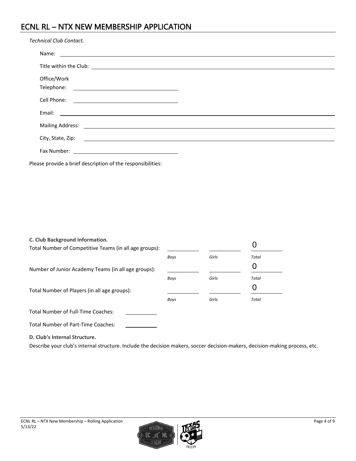| <b>Technical Club Contact.</b> |                                                        |  |  |  |  |
|--------------------------------|--------------------------------------------------------|--|--|--|--|
|                                |                                                        |  |  |  |  |
|                                |                                                        |  |  |  |  |
| Office/Work                    |                                                        |  |  |  |  |
|                                |                                                        |  |  |  |  |
| Cell Phone:                    | <u> 1989 - Jan Barnett, fransk politiker (d. 1989)</u> |  |  |  |  |
| Email:                         |                                                        |  |  |  |  |
|                                |                                                        |  |  |  |  |
|                                |                                                        |  |  |  |  |
| Fax Number:                    | <u> 1980 - Andrea Andrew Maria (h. 1980).</u>          |  |  |  |  |

Please provide a brief description of the responsibilities:

| C. Club Background Information.<br>Total Number of Competitive Teams (in all age groups): |      |       |              |
|-------------------------------------------------------------------------------------------|------|-------|--------------|
|                                                                                           | Boys | Girls | <b>Total</b> |
| Number of Junior Academy Teams (in all age groups):                                       |      |       |              |
|                                                                                           | Boys | Girls | <b>Total</b> |
| Total Number of Players (in all age groups):                                              |      |       |              |
|                                                                                           | Boys | Girls | Total        |
| <b>Total Number of Full-Time Coaches:</b>                                                 |      |       |              |
| <b>Total Number of Part-Time Coaches:</b>                                                 |      |       |              |
| D. Club's Internal Structure.                                                             |      |       |              |

Describe your club's internal structure. Include the decision makers, soccer decision-makers, decision-making process, etc.

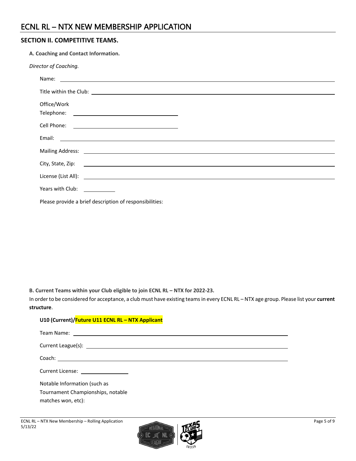### **SECTION II. COMPETITIVE TEAMS.**

| A. Coaching and Contact Information.                                                                                                                                                                                           |  |
|--------------------------------------------------------------------------------------------------------------------------------------------------------------------------------------------------------------------------------|--|
| Director of Coaching.                                                                                                                                                                                                          |  |
|                                                                                                                                                                                                                                |  |
|                                                                                                                                                                                                                                |  |
| Office/Work                                                                                                                                                                                                                    |  |
|                                                                                                                                                                                                                                |  |
|                                                                                                                                                                                                                                |  |
|                                                                                                                                                                                                                                |  |
|                                                                                                                                                                                                                                |  |
|                                                                                                                                                                                                                                |  |
|                                                                                                                                                                                                                                |  |
| Years with Club: \\sqrt{\sqrt{\sqrt{\sqrt{\sqrt{\sqrt{\sqrt{\sqrt{\sqrt{\sqrt{\sqrt{\sqrt{\sqrt{\sqrt{\sqrt{\sqrt{\sqrt{\sqrt{\sqrt{\sqrt{\sqrt{\sqrt{\sqrt{\sqrt{\sqrt{\sqrt{\sqrt{\sqrt{\sqrt{\sqrt{\sqrt{\sqrt{\sqrt{\sqrt{ |  |
| Please provide a brief description of responsibilities:                                                                                                                                                                        |  |

**B. Current Teams within your Club eligible to join ECNL RL – NTX for 2022-23.**

In order to be considered for acceptance, a club must have existing teams in every ECNL RL – NTX age group. Please list your **current structure**.

### **U10 (Current)/Future U11 ECNL RL – NTX Applicant**

| Current League(s): example and a series of the series of the series of the series of the series of the series of the series of the series of the series of the series of the series of the series of the series of the series |
|-------------------------------------------------------------------------------------------------------------------------------------------------------------------------------------------------------------------------------|
|                                                                                                                                                                                                                               |
| Current License: <u>____________________</u>                                                                                                                                                                                  |
| Notable Information (such as<br>Tournament Championships, notable<br>matches won, etc):                                                                                                                                       |

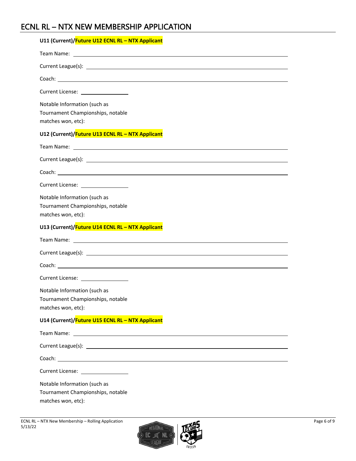| U11 (Current)/Future U12 ECNL RL - NTX Applicant                                                                                    |
|-------------------------------------------------------------------------------------------------------------------------------------|
|                                                                                                                                     |
|                                                                                                                                     |
|                                                                                                                                     |
| Current License: __________________                                                                                                 |
| Notable Information (such as<br>Tournament Championships, notable<br>matches won, etc):                                             |
| U12 (Current)/Future U13 ECNL RL - NTX Applicant                                                                                    |
| Team Name: 2008 2009 2010 2021 2022 2023 2024 2022 2023 2024 2022 2023 2024 2022 2023 2024 2022 2023 2024 2022                      |
|                                                                                                                                     |
|                                                                                                                                     |
| Current License: __________________                                                                                                 |
| Notable Information (such as<br>Tournament Championships, notable<br>matches won, etc):                                             |
|                                                                                                                                     |
| U13 (Current)/Future U14 ECNL RL - NTX Applicant                                                                                    |
|                                                                                                                                     |
|                                                                                                                                     |
|                                                                                                                                     |
| Current License: __________________                                                                                                 |
| Notable Information (such as<br>Tournament Championships, notable<br>matches won, etc):                                             |
| U14 (Current)/Future U15 ECNL RL - NTX Applicant                                                                                    |
| Team Name:<br><u> 1980 - Johann Barn, mars ann an t-Amhain Aonaichte ann an t-Aonaichte ann an t-Aonaichte ann an t-Aonaichte a</u> |
|                                                                                                                                     |
| Coach: University of the Coach: University of the Coach:                                                                            |
| Current License: __________________                                                                                                 |

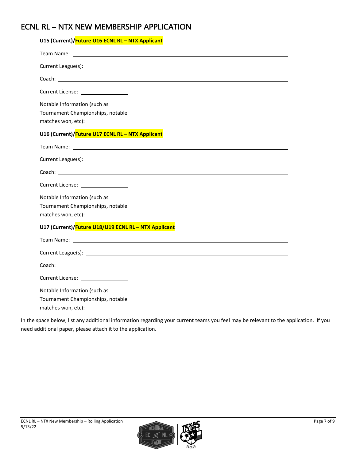| U15 (Current)/ <b>Future U16 ECNL RL - NTX Applicant</b>                                                                                                                                                                       |
|--------------------------------------------------------------------------------------------------------------------------------------------------------------------------------------------------------------------------------|
|                                                                                                                                                                                                                                |
| Current League(s): example and the set of the set of the set of the set of the set of the set of the set of the set of the set of the set of the set of the set of the set of the set of the set of the set of the set of the  |
| Coach: coach and contain the contact of the contact of the contact of the contact of the contact of the contact of the contact of the contact of the contact of the contact of the contact of the contact of the contact of th |
|                                                                                                                                                                                                                                |
| Notable Information (such as<br>Tournament Championships, notable<br>matches won, etc):                                                                                                                                        |
| U16 (Current)/Future U17 ECNL RL - NTX Applicant                                                                                                                                                                               |
|                                                                                                                                                                                                                                |
|                                                                                                                                                                                                                                |
|                                                                                                                                                                                                                                |
| Current License: 2008                                                                                                                                                                                                          |
| Notable Information (such as<br>Tournament Championships, notable<br>matches won, etc):                                                                                                                                        |
| U17 (Current)/Future U18/U19 ECNL RL - NTX Applicant                                                                                                                                                                           |
| Team Name: The Contract of the Contract of the Contract of the Contract of the Contract of the Contract of the Contract of the Contract of the Contract of the Contract of the Contract of the Contract of the Contract of the |
|                                                                                                                                                                                                                                |
|                                                                                                                                                                                                                                |
| Current License: 2008                                                                                                                                                                                                          |
| Notable Information (such as<br>Tournament Championships, notable<br>matches won, etc):                                                                                                                                        |

In the space below, list any additional information regarding your current teams you feel may be relevant to the application. If you need additional paper, please attach it to the application.

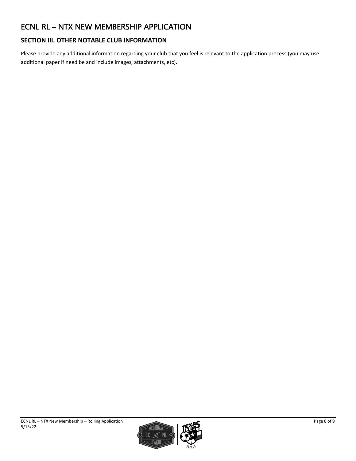### **SECTION III. OTHER NOTABLE CLUB INFORMATION**

Please provide any additional information regarding your club that you feel is relevant to the application process (you may use additional paper if need be and include images, attachments, etc).